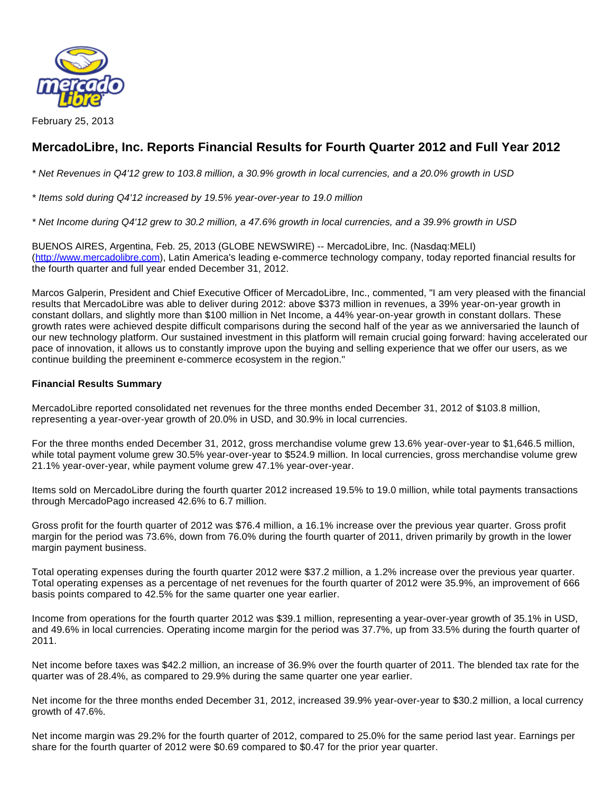

February 25, 2013

# **MercadoLibre, Inc. Reports Financial Results for Fourth Quarter 2012 and Full Year 2012**

\* Net Revenues in Q4'12 grew to 103.8 million, a 30.9% growth in local currencies, and a 20.0% growth in USD

\* Items sold during Q4'12 increased by 19.5% year-over-year to 19.0 million

\* Net Income during Q4'12 grew to 30.2 million, a 47.6% growth in local currencies, and a 39.9% growth in USD

BUENOS AIRES, Argentina, Feb. 25, 2013 (GLOBE NEWSWIRE) -- MercadoLibre, Inc. (Nasdaq:MELI) [\(http://www.mercadolibre.com\)](http://www.globenewswire.com/newsroom/ctr?d=10022959&l=4&u=http%3A%2F%2Fwww.mercadolibre.com), Latin America's leading e-commerce technology company, today reported financial results for the fourth quarter and full year ended December 31, 2012.

Marcos Galperin, President and Chief Executive Officer of MercadoLibre, Inc., commented, "I am very pleased with the financial results that MercadoLibre was able to deliver during 2012: above \$373 million in revenues, a 39% year-on-year growth in constant dollars, and slightly more than \$100 million in Net Income, a 44% year-on-year growth in constant dollars. These growth rates were achieved despite difficult comparisons during the second half of the year as we anniversaried the launch of our new technology platform. Our sustained investment in this platform will remain crucial going forward: having accelerated our pace of innovation, it allows us to constantly improve upon the buying and selling experience that we offer our users, as we continue building the preeminent e-commerce ecosystem in the region."

## **Financial Results Summary**

MercadoLibre reported consolidated net revenues for the three months ended December 31, 2012 of \$103.8 million, representing a year-over-year growth of 20.0% in USD, and 30.9% in local currencies.

For the three months ended December 31, 2012, gross merchandise volume grew 13.6% year-over-year to \$1,646.5 million, while total payment volume grew 30.5% year-over-year to \$524.9 million. In local currencies, gross merchandise volume grew 21.1% year-over-year, while payment volume grew 47.1% year-over-year.

Items sold on MercadoLibre during the fourth quarter 2012 increased 19.5% to 19.0 million, while total payments transactions through MercadoPago increased 42.6% to 6.7 million.

Gross profit for the fourth quarter of 2012 was \$76.4 million, a 16.1% increase over the previous year quarter. Gross profit margin for the period was 73.6%, down from 76.0% during the fourth quarter of 2011, driven primarily by growth in the lower margin payment business.

Total operating expenses during the fourth quarter 2012 were \$37.2 million, a 1.2% increase over the previous year quarter. Total operating expenses as a percentage of net revenues for the fourth quarter of 2012 were 35.9%, an improvement of 666 basis points compared to 42.5% for the same quarter one year earlier.

Income from operations for the fourth quarter 2012 was \$39.1 million, representing a year-over-year growth of 35.1% in USD, and 49.6% in local currencies. Operating income margin for the period was 37.7%, up from 33.5% during the fourth quarter of 2011.

Net income before taxes was \$42.2 million, an increase of 36.9% over the fourth quarter of 2011. The blended tax rate for the quarter was of 28.4%, as compared to 29.9% during the same quarter one year earlier.

Net income for the three months ended December 31, 2012, increased 39.9% year-over-year to \$30.2 million, a local currency growth of 47.6%.

Net income margin was 29.2% for the fourth quarter of 2012, compared to 25.0% for the same period last year. Earnings per share for the fourth quarter of 2012 were \$0.69 compared to \$0.47 for the prior year quarter.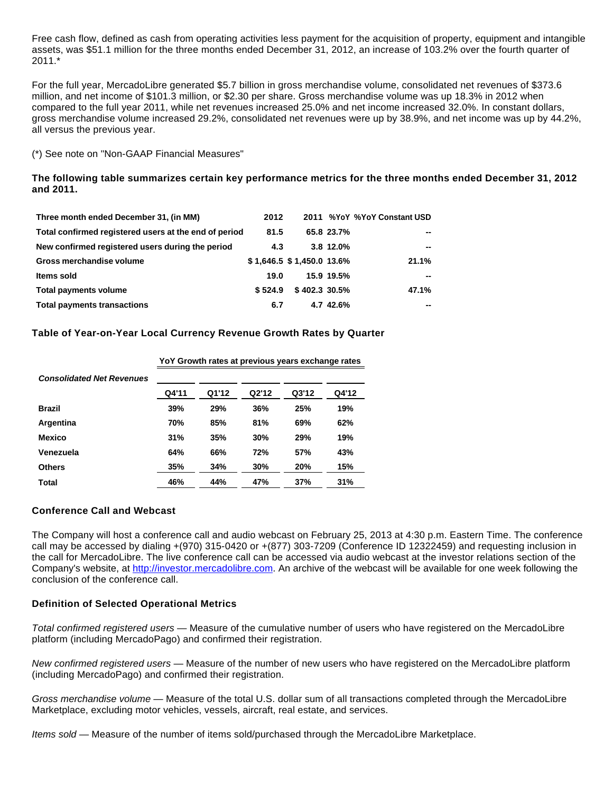Free cash flow, defined as cash from operating activities less payment for the acquisition of property, equipment and intangible assets, was \$51.1 million for the three months ended December 31, 2012, an increase of 103.2% over the fourth quarter of 2011.\*

For the full year, MercadoLibre generated \$5.7 billion in gross merchandise volume, consolidated net revenues of \$373.6 million, and net income of \$101.3 million, or \$2.30 per share. Gross merchandise volume was up 18.3% in 2012 when compared to the full year 2011, while net revenues increased 25.0% and net income increased 32.0%. In constant dollars, gross merchandise volume increased 29.2%, consolidated net revenues were up by 38.9%, and net income was up by 44.2%, all versus the previous year.

(\*) See note on "Non-GAAP Financial Measures"

**The following table summarizes certain key performance metrics for the three months ended December 31, 2012 and 2011.**

| Three month ended December 31, (in MM)                | 2012    |                           |            | 2011 %YoY %YoY Constant USD |
|-------------------------------------------------------|---------|---------------------------|------------|-----------------------------|
| Total confirmed registered users at the end of period | 81.5    |                           | 65.8 23.7% | --                          |
| New confirmed registered users during the period      | 4.3     |                           | 3.8 12.0%  | --                          |
| Gross merchandise volume                              |         | \$1,646.5 \$1,450.0 13.6% |            | 21.1%                       |
| Items sold                                            | 19.0    |                           | 15.9 19.5% | --                          |
| Total payments volume                                 | \$524.9 | \$402.3 30.5%             |            | 47.1%                       |
| <b>Total payments transactions</b>                    | 6.7     |                           | 4.7 42.6%  | --                          |

#### **Table of Year-on-Year Local Currency Revenue Growth Rates by Quarter**

|                                  | TOT Growth rates at previous years exchange rates |       |       |       |       |  |  |
|----------------------------------|---------------------------------------------------|-------|-------|-------|-------|--|--|
| <b>Consolidated Net Revenues</b> |                                                   |       |       |       |       |  |  |
|                                  | Q4'11                                             | Q1'12 | Q2'12 | Q3'12 | Q4'12 |  |  |
| <b>Brazil</b>                    | 39%                                               | 29%   | 36%   | 25%   | 19%   |  |  |
| Argentina                        | 70%                                               | 85%   | 81%   | 69%   | 62%   |  |  |
| <b>Mexico</b>                    | 31%                                               | 35%   | 30%   | 29%   | 19%   |  |  |
| Venezuela                        | 64%                                               | 66%   | 72%   | 57%   | 43%   |  |  |
| <b>Others</b>                    | 35%                                               | 34%   | 30%   | 20%   | 15%   |  |  |
| Total                            | 46%                                               | 44%   | 47%   | 37%   | 31%   |  |  |

## **Conference Call and Webcast**

The Company will host a conference call and audio webcast on February 25, 2013 at 4:30 p.m. Eastern Time. The conference call may be accessed by dialing +(970) 315-0420 or +(877) 303-7209 (Conference ID 12322459) and requesting inclusion in the call for MercadoLibre. The live conference call can be accessed via audio webcast at the investor relations section of the Company's website, at [http://investor.mercadolibre.com.](http://investor.mercadolibre.com/) An archive of the webcast will be available for one week following the conclusion of the conference call.

## **Definition of Selected Operational Metrics**

Total confirmed registered users — Measure of the cumulative number of users who have registered on the MercadoLibre platform (including MercadoPago) and confirmed their registration.

New confirmed registered users — Measure of the number of new users who have registered on the MercadoLibre platform (including MercadoPago) and confirmed their registration.

Gross merchandise volume — Measure of the total U.S. dollar sum of all transactions completed through the MercadoLibre Marketplace, excluding motor vehicles, vessels, aircraft, real estate, and services.

Items sold — Measure of the number of items sold/purchased through the MercadoLibre Marketplace.

#### **YoY Growth rates at previous years exchange rates**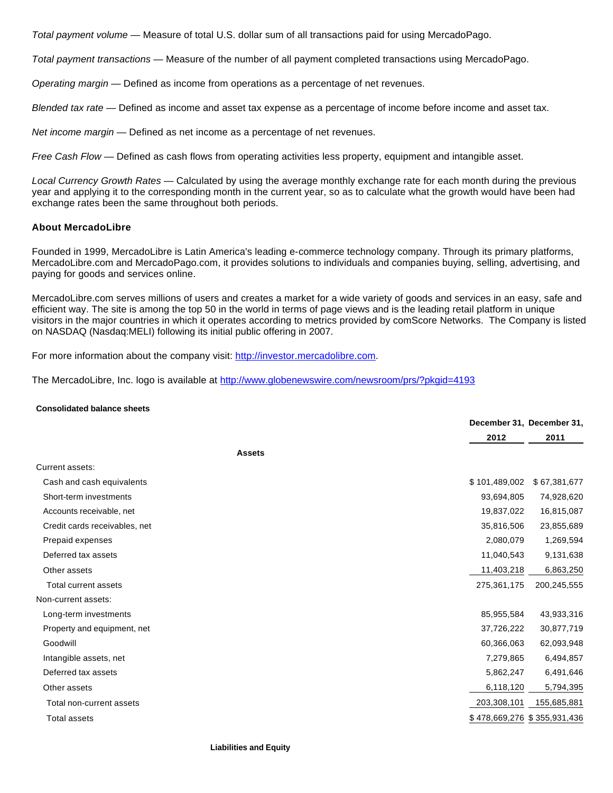Total payment volume — Measure of total U.S. dollar sum of all transactions paid for using MercadoPago.

Total payment transactions — Measure of the number of all payment completed transactions using MercadoPago.

Operating margin — Defined as income from operations as a percentage of net revenues.

Blended tax rate — Defined as income and asset tax expense as a percentage of income before income and asset tax.

Net income margin - Defined as net income as a percentage of net revenues.

Free Cash Flow — Defined as cash flows from operating activities less property, equipment and intangible asset.

Local Currency Growth Rates — Calculated by using the average monthly exchange rate for each month during the previous year and applying it to the corresponding month in the current year, so as to calculate what the growth would have been had exchange rates been the same throughout both periods.

#### **About MercadoLibre**

Founded in 1999, MercadoLibre is Latin America's leading e-commerce technology company. Through its primary platforms, MercadoLibre.com and MercadoPago.com, it provides solutions to individuals and companies buying, selling, advertising, and paying for goods and services online.

MercadoLibre.com serves millions of users and creates a market for a wide variety of goods and services in an easy, safe and efficient way. The site is among the top 50 in the world in terms of page views and is the leading retail platform in unique visitors in the major countries in which it operates according to metrics provided by comScore Networks. The Company is listed on NASDAQ (Nasdaq:MELI) following its initial public offering in 2007.

For more information about the company visit: [http://investor.mercadolibre.com](http://investor.mercadolibre.com/).

The MercadoLibre, Inc. logo is available at <http://www.globenewswire.com/newsroom/prs/?pkgid=4193>

#### **Consolidated balance sheets**

|                               |               | December 31, December 31,   |
|-------------------------------|---------------|-----------------------------|
|                               | 2012          | 2011                        |
| <b>Assets</b>                 |               |                             |
| Current assets:               |               |                             |
| Cash and cash equivalents     | \$101,489,002 | \$67,381,677                |
| Short-term investments        | 93,694,805    | 74,928,620                  |
| Accounts receivable, net      | 19,837,022    | 16,815,087                  |
| Credit cards receivables, net | 35,816,506    | 23,855,689                  |
| Prepaid expenses              | 2,080,079     | 1,269,594                   |
| Deferred tax assets           | 11,040,543    | 9,131,638                   |
| Other assets                  | 11,403,218    | 6,863,250                   |
| Total current assets          | 275,361,175   | 200,245,555                 |
| Non-current assets:           |               |                             |
| Long-term investments         | 85,955,584    | 43,933,316                  |
| Property and equipment, net   | 37,726,222    | 30,877,719                  |
| Goodwill                      | 60,366,063    | 62,093,948                  |
| Intangible assets, net        | 7,279,865     | 6,494,857                   |
| Deferred tax assets           | 5,862,247     | 6,491,646                   |
| Other assets                  | 6,118,120     | 5,794,395                   |
| Total non-current assets      | 203,308,101   | 155,685,881                 |
| Total assets                  |               | \$478,669,276 \$355,931,436 |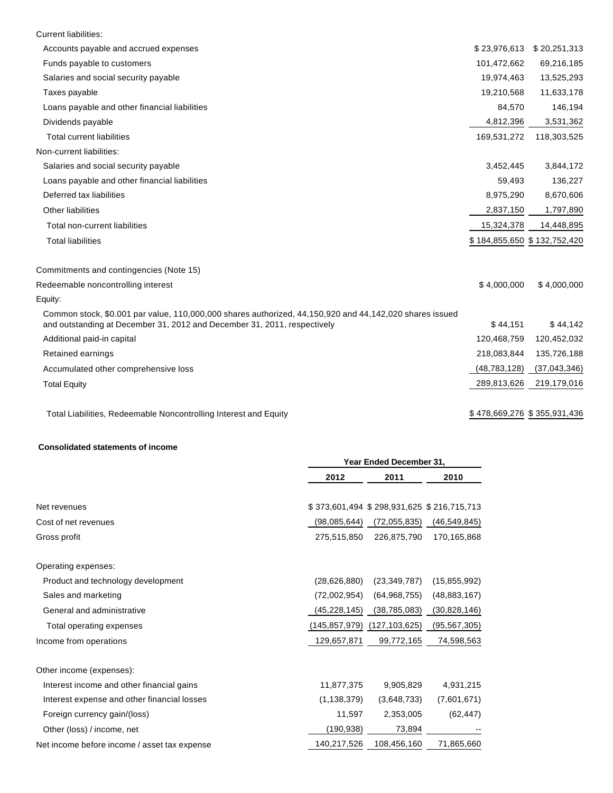| <b>Current liabilities:</b>                                                                                                                                                         |                             |              |
|-------------------------------------------------------------------------------------------------------------------------------------------------------------------------------------|-----------------------------|--------------|
| Accounts payable and accrued expenses                                                                                                                                               | \$23,976,613                | \$20,251,313 |
| Funds payable to customers                                                                                                                                                          | 101,472,662                 | 69,216,185   |
| Salaries and social security payable                                                                                                                                                | 19,974,463                  | 13,525,293   |
| Taxes payable                                                                                                                                                                       | 19,210,568                  | 11,633,178   |
| Loans payable and other financial liabilities                                                                                                                                       | 84,570                      | 146,194      |
| Dividends payable                                                                                                                                                                   | 4,812,396                   | 3,531,362    |
| <b>Total current liabilities</b>                                                                                                                                                    | 169,531,272                 | 118,303,525  |
| Non-current liabilities:                                                                                                                                                            |                             |              |
| Salaries and social security payable                                                                                                                                                | 3,452,445                   | 3,844,172    |
| Loans payable and other financial liabilities                                                                                                                                       | 59,493                      | 136,227      |
| Deferred tax liabilities                                                                                                                                                            | 8,975,290                   | 8,670,606    |
| <b>Other liabilities</b>                                                                                                                                                            | 2,837,150                   | 1,797,890    |
| Total non-current liabilities                                                                                                                                                       | 15,324,378                  | 14,448,895   |
| <b>Total liabilities</b>                                                                                                                                                            | \$184,855,650 \$132,752,420 |              |
| Commitments and contingencies (Note 15)                                                                                                                                             |                             |              |
| Redeemable noncontrolling interest                                                                                                                                                  | \$4,000,000                 | \$4,000,000  |
| Equity:                                                                                                                                                                             |                             |              |
| Common stock, \$0.001 par value, 110,000,000 shares authorized, 44,150,920 and 44,142,020 shares issued<br>and outstanding at December 31, 2012 and December 31, 2011, respectively | \$44,151                    | \$44,142     |
| Additional paid-in capital                                                                                                                                                          | 120,468,759                 | 120,452,032  |
| Retained earnings                                                                                                                                                                   | 218,083,844                 | 135,726,188  |
| Accumulated other comprehensive loss                                                                                                                                                | (48, 783, 128)              | (37,043,346) |
| <b>Total Equity</b>                                                                                                                                                                 | 289,813,626                 | 219,179,016  |
| Total Liabilities, Redeemable Noncontrolling Interest and Equity                                                                                                                    | \$478,669,276 \$355,931,436 |              |

#### **Consolidated statements of income**

|                                              | Year Ended December 31, |                                           |                |  |
|----------------------------------------------|-------------------------|-------------------------------------------|----------------|--|
|                                              | 2012                    | 2011                                      | 2010           |  |
|                                              |                         |                                           |                |  |
| Net revenues                                 |                         | \$373,601,494 \$298,931,625 \$216,715,713 |                |  |
| Cost of net revenues                         | (98,085,644)            | (72,055,835)                              | (46, 549, 845) |  |
| Gross profit                                 | 275,515,850             | 226,875,790                               | 170,165,868    |  |
| Operating expenses:                          |                         |                                           |                |  |
| Product and technology development           | (28, 626, 880)          | (23, 349, 787)                            | (15, 855, 992) |  |
| Sales and marketing                          | (72,002,954)            | (64,968,755)                              | (48, 883, 167) |  |
| General and administrative                   | (45, 228, 145)          | (38, 785, 083)                            | (30, 828, 146) |  |
| Total operating expenses                     | (145, 857, 979)         | (127, 103, 625)                           | (95, 567, 305) |  |
| Income from operations                       | 129,657,871             | 99,772,165                                | 74,598,563     |  |
| Other income (expenses):                     |                         |                                           |                |  |
| Interest income and other financial gains    | 11,877,375              | 9,905,829                                 | 4,931,215      |  |
| Interest expense and other financial losses  | (1, 138, 379)           | (3,648,733)                               | (7,601,671)    |  |
| Foreign currency gain/(loss)                 | 11,597                  | 2,353,005                                 | (62, 447)      |  |
| Other (loss) / income, net                   | (190, 938)              | 73,894                                    |                |  |
| Net income before income / asset tax expense | 140,217,526             | 108,456,160                               | 71,865,660     |  |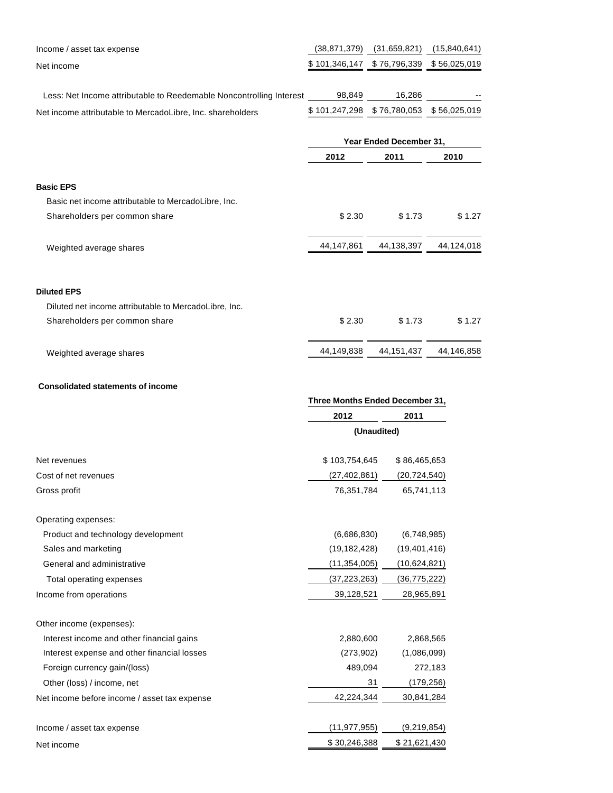| Income / asset tax expense                                          | $(38,871,379)$ $(31,659,821)$   |                         | (15,840,641) |  |
|---------------------------------------------------------------------|---------------------------------|-------------------------|--------------|--|
| Net income                                                          | \$101,346,147 \$76,796,339      |                         | \$56,025,019 |  |
|                                                                     |                                 |                         |              |  |
| Less: Net Income attributable to Reedemable Noncontrolling Interest | 98,849                          | 16,286                  |              |  |
| Net income attributable to MercadoLibre, Inc. shareholders          | \$101,247,298                   | \$76,780,053            | \$56,025,019 |  |
|                                                                     |                                 |                         |              |  |
|                                                                     |                                 | Year Ended December 31, |              |  |
|                                                                     | 2012                            | 2011                    | 2010         |  |
| <b>Basic EPS</b>                                                    |                                 |                         |              |  |
| Basic net income attributable to MercadoLibre, Inc.                 |                                 |                         |              |  |
| Shareholders per common share                                       | \$2.30                          | \$1.73                  | \$ 1.27      |  |
|                                                                     |                                 |                         |              |  |
| Weighted average shares                                             | 44,147,861                      | 44,138,397              | 44,124,018   |  |
|                                                                     |                                 |                         |              |  |
| <b>Diluted EPS</b>                                                  |                                 |                         |              |  |
| Diluted net income attributable to MercadoLibre, Inc.               |                                 |                         |              |  |
| Shareholders per common share                                       | \$2.30                          | \$1.73                  | \$1.27       |  |
| Weighted average shares                                             | 44,149,838                      | 44,151,437              | 44,146,858   |  |
| <b>Consolidated statements of income</b>                            |                                 |                         |              |  |
|                                                                     | Three Months Ended December 31, |                         |              |  |
|                                                                     | 2012                            | 2011                    |              |  |
|                                                                     | (Unaudited)                     |                         |              |  |
| Net revenues                                                        | \$103,754,645                   | \$86,465,653            |              |  |
| Cost of net revenues                                                | (27, 402, 861)                  | (20, 724, 540)          |              |  |
| Gross profit                                                        | 76,351,784                      | 65,741,113              |              |  |
| Operating expenses:                                                 |                                 |                         |              |  |
| Product and technology development                                  | (6,686,830)                     | (6,748,985)             |              |  |
| Sales and marketing                                                 | (19, 182, 428)                  | (19, 401, 416)          |              |  |

General and administrative (11,354,005) (10,624,821) Total operating expenses (37,223,263) (36,775,222) Income from operations 39,128,521 28,965,891

Interest income and other financial gains <br>
2,880,600 2,868,565 Interest expense and other financial losses (273,902) (1,086,099) Foreign currency gain/(loss) 489,094 272,183 Other (loss) / income, net 31 (179,256) Net income before income / asset tax expense  $\frac{42,224,344}{30,841,284}$ 

Income / asset tax expense (11,977,955) (9,219,854) Net income \$ 30,246,388 \$ 21,621,430

Other income (expenses):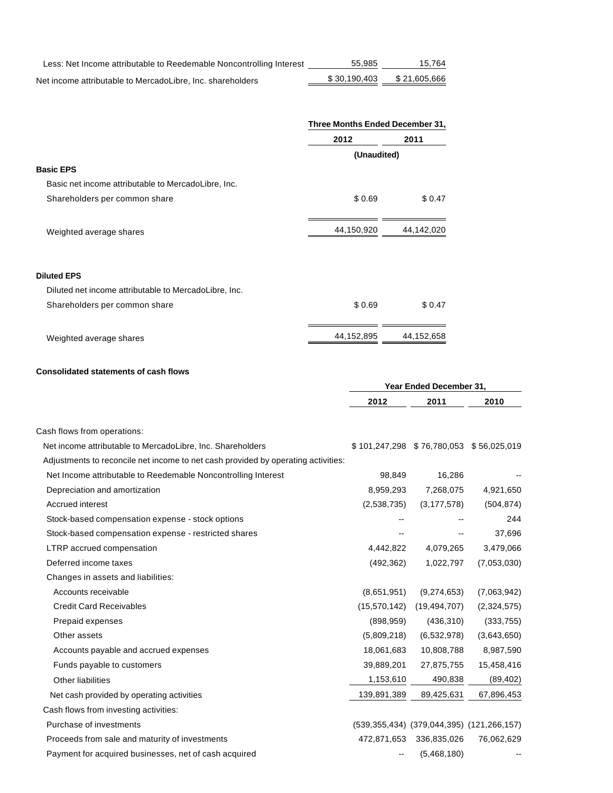| Less: Net Income attributable to Reedemable Noncontrolling Interest | 55.985       | 15.764       |
|---------------------------------------------------------------------|--------------|--------------|
| Net income attributable to MercadoLibre, Inc. shareholders          | \$30.190.403 | \$21.605.666 |

|                                                                                                                                                 | Three Months Ended December 31, |        |                         |                                         |
|-------------------------------------------------------------------------------------------------------------------------------------------------|---------------------------------|--------|-------------------------|-----------------------------------------|
|                                                                                                                                                 | 2012                            |        | 2011                    |                                         |
|                                                                                                                                                 | (Unaudited)                     |        |                         |                                         |
| <b>Basic EPS</b>                                                                                                                                |                                 |        |                         |                                         |
| Basic net income attributable to MercadoLibre, Inc.                                                                                             |                                 |        |                         |                                         |
| Shareholders per common share                                                                                                                   | \$0.69                          |        | \$0.47                  |                                         |
| Weighted average shares                                                                                                                         | 44,150,920                      |        | 44,142,020              |                                         |
| <b>Diluted EPS</b>                                                                                                                              |                                 |        |                         |                                         |
| Diluted net income attributable to MercadoLibre, Inc.                                                                                           |                                 |        |                         |                                         |
| Shareholders per common share                                                                                                                   | \$0.69                          |        | \$0.47                  |                                         |
| Weighted average shares                                                                                                                         | 44, 152, 895                    |        | 44,152,658              |                                         |
| <b>Consolidated statements of cash flows</b>                                                                                                    |                                 |        |                         |                                         |
|                                                                                                                                                 |                                 |        | Year Ended December 31, |                                         |
|                                                                                                                                                 | 2012                            |        | 2011                    | 2010                                    |
| Cash flows from operations:                                                                                                                     |                                 |        |                         |                                         |
| Net income attributable to MercadoLibre, Inc. Shareholders<br>Adjustments to reconcile net income to net cash provided by operating activities: |                                 |        |                         | \$101,247,298 \$76,780,053 \$56,025,019 |
| Net Income attributeble to Deedemable Nepeentrelling Interest                                                                                   |                                 | 0.0000 | 10,000                  |                                         |

| Net Income attributable to Reedemable Noncontrolling Interest | 98,849         | 16,286         |                                                 |
|---------------------------------------------------------------|----------------|----------------|-------------------------------------------------|
| Depreciation and amortization                                 | 8,959,293      | 7,268,075      | 4,921,650                                       |
| Accrued interest                                              | (2,538,735)    | (3, 177, 578)  | (504, 874)                                      |
| Stock-based compensation expense - stock options              |                |                | 244                                             |
| Stock-based compensation expense - restricted shares          |                |                | 37,696                                          |
| LTRP accrued compensation                                     | 4,442,822      | 4,079,265      | 3,479,066                                       |
| Deferred income taxes                                         | (492, 362)     | 1,022,797      | (7,053,030)                                     |
| Changes in assets and liabilities:                            |                |                |                                                 |
| Accounts receivable                                           | (8,651,951)    | (9,274,653)    | (7,063,942)                                     |
| <b>Credit Card Receivables</b>                                | (15, 570, 142) | (19, 494, 707) | (2,324,575)                                     |
| Prepaid expenses                                              | (898, 959)     | (436, 310)     | (333, 755)                                      |
| Other assets                                                  | (5,809,218)    | (6,532,978)    | (3,643,650)                                     |
| Accounts payable and accrued expenses                         | 18,061,683     | 10,808,788     | 8,987,590                                       |
| Funds payable to customers                                    | 39,889,201     | 27,875,755     | 15,458,416                                      |
| Other liabilities                                             | 1,153,610      | 490,838        | (89, 402)                                       |
| Net cash provided by operating activities                     | 139,891,389    | 89,425,631     | 67,896,453                                      |
| Cash flows from investing activities:                         |                |                |                                                 |
| Purchase of investments                                       |                |                | (539, 355, 434) (379, 044, 395) (121, 266, 157) |
| Proceeds from sale and maturity of investments                | 472,871,653    | 336,835,026    | 76,062,629                                      |
| Payment for acquired businesses, net of cash acquired         |                | (5,468,180)    |                                                 |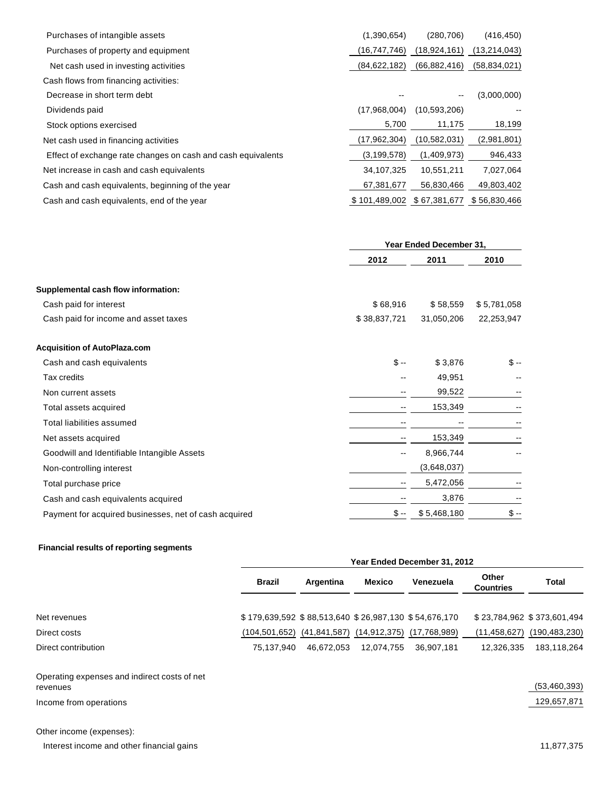| Purchases of intangible assets                               | (1,390,654)    | (280, 706)     | (416, 450)     |
|--------------------------------------------------------------|----------------|----------------|----------------|
| Purchases of property and equipment                          | (16,747,746)   | (18,924,161)   | (13, 214, 043) |
| Net cash used in investing activities                        | (84, 622, 182) | (66, 882, 416) | (58, 834, 021) |
| Cash flows from financing activities:                        |                |                |                |
| Decrease in short term debt                                  |                |                | (3,000,000)    |
| Dividends paid                                               | (17,968,004)   | (10.593.206)   |                |
| Stock options exercised                                      | 5,700          | 11,175         | 18,199         |
| Net cash used in financing activities                        | (17, 962, 304) | (10,582,031)   | (2,981,801)    |
| Effect of exchange rate changes on cash and cash equivalents | (3, 199, 578)  | (1,409,973)    | 946,433        |
| Net increase in cash and cash equivalents                    | 34,107,325     | 10,551,211     | 7,027,064      |
| Cash and cash equivalents, beginning of the year             | 67,381,677     | 56,830,466     | 49,803,402     |
| Cash and cash equivalents, end of the year                   | \$101,489,002  | \$67,381,677   | \$56,830,466   |

|                                                       | Year Ended December 31, |             |             |  |
|-------------------------------------------------------|-------------------------|-------------|-------------|--|
|                                                       | 2012                    | 2011        | 2010        |  |
| Supplemental cash flow information:                   |                         |             |             |  |
| Cash paid for interest                                | \$68,916                | \$58,559    | \$5,781,058 |  |
| Cash paid for income and asset taxes                  | \$38,837,721            | 31,050,206  | 22,253,947  |  |
| <b>Acquisition of AutoPlaza.com</b>                   |                         |             |             |  |
| Cash and cash equivalents                             | $$ -$                   | \$3,876     | $$ -$       |  |
| Tax credits                                           | --                      | 49,951      |             |  |
| Non current assets                                    | $- -$                   | 99,522      |             |  |
| Total assets acquired                                 | --                      | 153,349     |             |  |
| <b>Total liabilities assumed</b>                      | $-$                     |             |             |  |
| Net assets acquired                                   | --                      | 153,349     |             |  |
| Goodwill and Identifiable Intangible Assets           | $- -$                   | 8,966,744   |             |  |
| Non-controlling interest                              |                         | (3,648,037) |             |  |
| Total purchase price                                  | --                      | 5,472,056   |             |  |
| Cash and cash equivalents acquired                    |                         | 3,876       |             |  |
| Payment for acquired businesses, net of cash acquired | $$-$                    | \$5,468,180 | $$ -$       |  |
|                                                       |                         |             |             |  |

## **Financial results of reporting segments**

|                                                | Year Ended December 31, 2012                         |            |               |                                                              |                           |                            |  |
|------------------------------------------------|------------------------------------------------------|------------|---------------|--------------------------------------------------------------|---------------------------|----------------------------|--|
|                                                | <b>Brazil</b>                                        | Argentina  | <b>Mexico</b> | Venezuela                                                    | Other<br><b>Countries</b> | <b>Total</b>               |  |
| Net revenues                                   | \$179,639,592 \$88,513,640 \$26,987,130 \$54,676,170 |            |               |                                                              |                           | \$23,784,962 \$373,601,494 |  |
| Direct costs                                   |                                                      |            |               | $(104,501,652)$ $(41,841,587)$ $(14,912,375)$ $(17,768,989)$ | (11, 458, 627)            | (190, 483, 230)            |  |
| Direct contribution                            | 75.137.940                                           | 46.672.053 | 12.074.755    | 36.907.181                                                   | 12.326.335                | 183,118,264                |  |
| One retire a curence cad indirect coate of net |                                                      |            |               |                                                              |                           |                            |  |

Operating expenses and indirect costs of net revenues (53,460,393)

Income from operations 129,657,871

Other income (expenses):

Interest income and other financial gains 11,877,375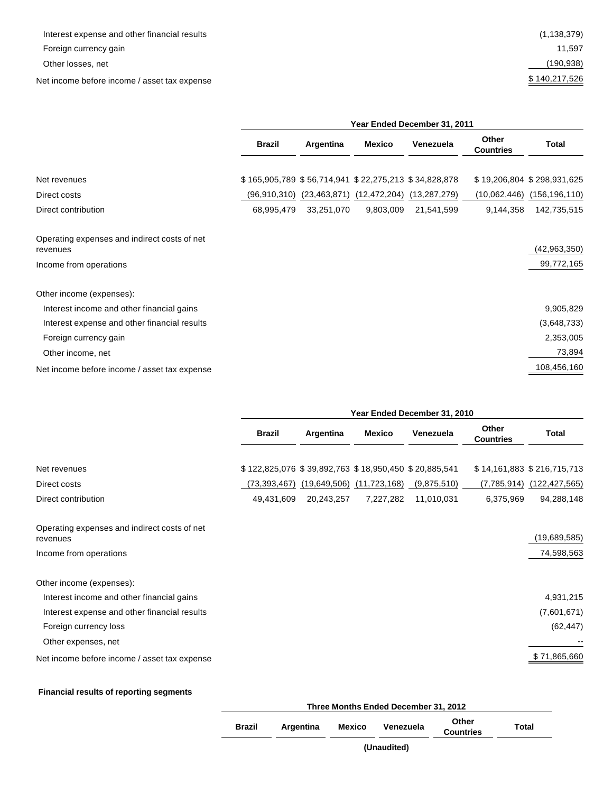Interest expense and other financial results (1,138,379)

Foreign currency gain and the state of the state of the state of the state of the state of the state of the state of the state of the state of the state of the state of the state of the state of the state of the state of t

Other losses, net (190,938)

Net income before income / asset tax expense  $\frac{$140,217,526}{1}$ 

|                                                          | Year Ended December 31, 2011                         |            |                                              |            |                           |                            |
|----------------------------------------------------------|------------------------------------------------------|------------|----------------------------------------------|------------|---------------------------|----------------------------|
|                                                          | Brazil                                               | Argentina  | Mexico                                       | Venezuela  | Other<br><b>Countries</b> | <b>Total</b>               |
| Net revenues                                             | \$165,905,789 \$56,714,941 \$22,275,213 \$34,828,878 |            |                                              |            |                           | \$19,206,804 \$298,931,625 |
| Direct costs                                             | (96, 910, 310)                                       |            | $(23,463,871)$ $(12,472,204)$ $(13,287,279)$ |            | (10,062,446)              | (156, 196, 110)            |
| Direct contribution                                      | 68,995,479                                           | 33,251,070 | 9,803,009                                    | 21,541,599 | 9,144,358                 | 142,735,515                |
| Operating expenses and indirect costs of net<br>revenues |                                                      |            |                                              |            |                           | (42, 963, 350)             |
| Income from operations                                   |                                                      |            |                                              |            |                           | 99,772,165                 |
| Other income (expenses):                                 |                                                      |            |                                              |            |                           |                            |
| Interest income and other financial gains                |                                                      |            |                                              |            |                           | 9,905,829                  |
| Interest expense and other financial results             |                                                      |            |                                              |            |                           | (3,648,733)                |
| Foreign currency gain                                    |                                                      |            |                                              |            |                           | 2,353,005                  |
| Other income, net                                        |                                                      |            |                                              |            |                           | 73,894                     |
| Net income before income / asset tax expense             |                                                      |            |                                              |            |                           | 108,456,160                |

|                                                          | Year Ended December 31, 2010                         |            |                               |             |                           |                            |
|----------------------------------------------------------|------------------------------------------------------|------------|-------------------------------|-------------|---------------------------|----------------------------|
|                                                          | <b>Brazil</b>                                        | Argentina  | <b>Mexico</b>                 | Venezuela   | Other<br><b>Countries</b> | <b>Total</b>               |
| Net revenues                                             | \$122,825,076 \$39,892,763 \$18,950,450 \$20,885,541 |            |                               |             |                           | \$14,161,883 \$216,715,713 |
| Direct costs                                             | (73, 393, 467)                                       |            | $(19,649,506)$ $(11,723,168)$ | (9,875,510) | (7,785,914)               | (122, 427, 565)            |
| Direct contribution                                      | 49,431,609                                           | 20,243,257 | 7,227,282                     | 11,010,031  | 6,375,969                 | 94,288,148                 |
| Operating expenses and indirect costs of net<br>revenues |                                                      |            |                               |             |                           | (19,689,585)               |
| Income from operations                                   |                                                      |            |                               |             |                           | 74,598,563                 |
| Other income (expenses):                                 |                                                      |            |                               |             |                           |                            |
| Interest income and other financial gains                |                                                      |            |                               |             |                           | 4,931,215                  |
| Interest expense and other financial results             |                                                      |            |                               |             |                           | (7,601,671)                |
| Foreign currency loss                                    |                                                      |            |                               |             |                           | (62, 447)                  |
| Other expenses, net                                      |                                                      |            |                               |             |                           |                            |
| Net income before income / asset tax expense             |                                                      |            |                               |             |                           | \$71,865,660               |
|                                                          |                                                      |            |                               |             |                           |                            |

## **Financial results of reporting segments**

| Three Months Ended December 31, 2012 |           |        |           |                           |       |  |
|--------------------------------------|-----------|--------|-----------|---------------------------|-------|--|
| <b>Brazil</b>                        | Argentina | Mexico | Venezuela | Other<br><b>Countries</b> | Total |  |
| (Unaudited)                          |           |        |           |                           |       |  |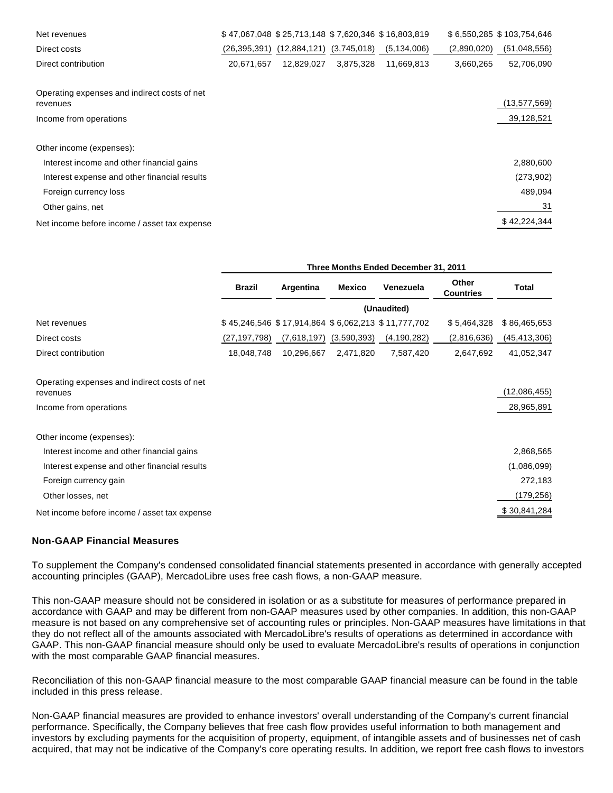| Net revenues                                             | \$47,067,048 \$25,713,148 \$7,620,346 \$16,803,819 |                                             |           |               |             | \$6,550,285 \$103,754,646 |
|----------------------------------------------------------|----------------------------------------------------|---------------------------------------------|-----------|---------------|-------------|---------------------------|
| Direct costs                                             |                                                    | $(26,395,391)$ $(12,884,121)$ $(3,745,018)$ |           | (5, 134, 006) | (2,890,020) | (51,048,556)              |
| Direct contribution                                      | 20,671,657                                         | 12,829,027                                  | 3,875,328 | 11,669,813    | 3,660,265   | 52,706,090                |
| Operating expenses and indirect costs of net<br>revenues |                                                    |                                             |           |               |             | (13, 577, 569)            |
| Income from operations                                   |                                                    |                                             |           |               |             | 39,128,521                |
| Other income (expenses):                                 |                                                    |                                             |           |               |             |                           |
| Interest income and other financial gains                |                                                    |                                             |           |               |             | 2,880,600                 |
| Interest expense and other financial results             |                                                    |                                             |           |               |             | (273,902)                 |
| Foreign currency loss                                    |                                                    |                                             |           |               |             | 489,094                   |
| Other gains, net                                         |                                                    |                                             |           |               |             | 31                        |
| Net income before income / asset tax expense             |                                                    |                                             |           |               |             | \$42,224,344              |

|                                                          | Three Months Ended December 31, 2011 |            |                             |                                                    |                           |                |
|----------------------------------------------------------|--------------------------------------|------------|-----------------------------|----------------------------------------------------|---------------------------|----------------|
|                                                          | <b>Brazil</b>                        | Argentina  | <b>Mexico</b>               | Venezuela                                          | Other<br><b>Countries</b> | <b>Total</b>   |
|                                                          |                                      |            |                             | (Unaudited)                                        |                           |                |
| Net revenues                                             |                                      |            |                             | \$45,246,546 \$17,914,864 \$6,062,213 \$11,777,702 | \$5,464,328               | \$86,465,653   |
| Direct costs                                             | (27, 197, 798)                       |            | $(7,618,197)$ $(3,590,393)$ | (4, 190, 282)                                      | (2,816,636)               | (45, 413, 306) |
| Direct contribution                                      | 18,048,748                           | 10,296,667 | 2,471,820                   | 7,587,420                                          | 2,647,692                 | 41,052,347     |
| Operating expenses and indirect costs of net<br>revenues |                                      |            |                             |                                                    |                           | (12,086,455)   |
| Income from operations                                   |                                      |            |                             |                                                    |                           | 28,965,891     |
| Other income (expenses):                                 |                                      |            |                             |                                                    |                           |                |
| Interest income and other financial gains                |                                      |            |                             |                                                    |                           | 2,868,565      |
| Interest expense and other financial results             |                                      |            |                             |                                                    |                           | (1,086,099)    |
| Foreign currency gain                                    |                                      |            |                             |                                                    |                           | 272,183        |
| Other losses, net                                        |                                      |            |                             |                                                    |                           | (179,256)      |
| Net income before income / asset tax expense             |                                      |            |                             |                                                    |                           | \$30,841,284   |

## **Non-GAAP Financial Measures**

To supplement the Company's condensed consolidated financial statements presented in accordance with generally accepted accounting principles (GAAP), MercadoLibre uses free cash flows, a non-GAAP measure.

This non-GAAP measure should not be considered in isolation or as a substitute for measures of performance prepared in accordance with GAAP and may be different from non-GAAP measures used by other companies. In addition, this non-GAAP measure is not based on any comprehensive set of accounting rules or principles. Non-GAAP measures have limitations in that they do not reflect all of the amounts associated with MercadoLibre's results of operations as determined in accordance with GAAP. This non-GAAP financial measure should only be used to evaluate MercadoLibre's results of operations in conjunction with the most comparable GAAP financial measures.

Reconciliation of this non-GAAP financial measure to the most comparable GAAP financial measure can be found in the table included in this press release.

Non-GAAP financial measures are provided to enhance investors' overall understanding of the Company's current financial performance. Specifically, the Company believes that free cash flow provides useful information to both management and investors by excluding payments for the acquisition of property, equipment, of intangible assets and of businesses net of cash acquired, that may not be indicative of the Company's core operating results. In addition, we report free cash flows to investors